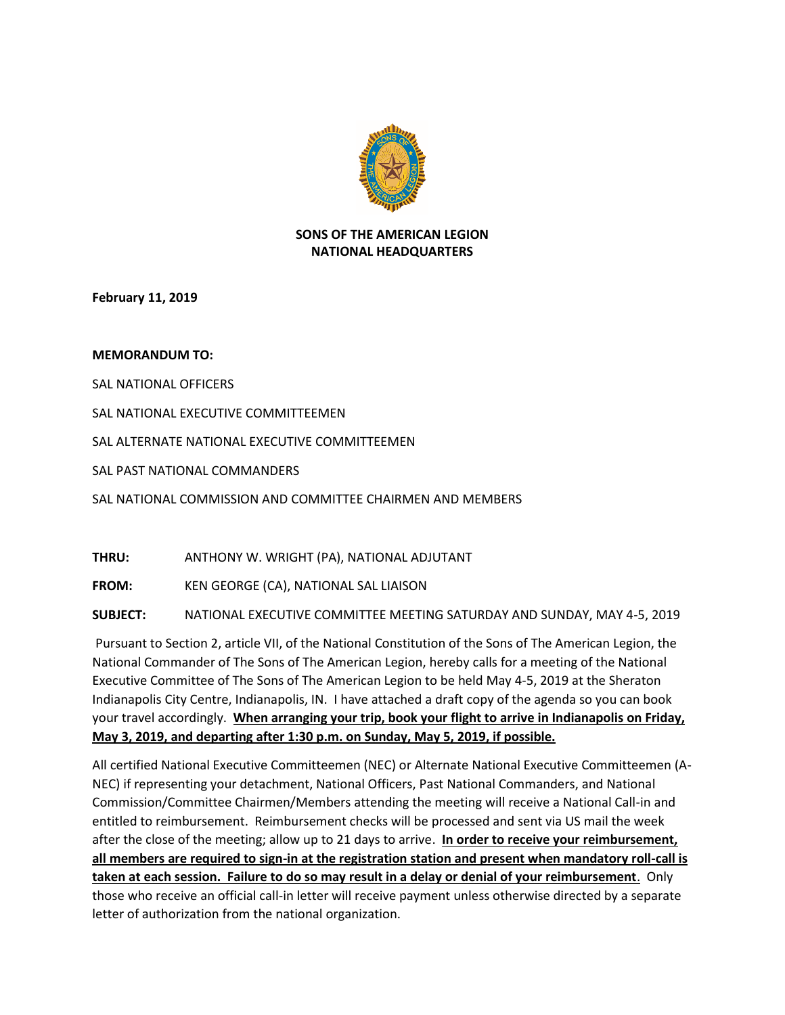

## **SONS OF THE AMERICAN LEGION NATIONAL HEADQUARTERS**

**February 11, 2019**

## **MEMORANDUM TO:**

SAL NATIONAL OFFICERS

SAL NATIONAL EXECUTIVE COMMITTEEMEN

SAL ALTERNATE NATIONAL EXECUTIVE COMMITTEEMEN

SAL PAST NATIONAL COMMANDERS

SAL NATIONAL COMMISSION AND COMMITTEE CHAIRMEN AND MEMBERS

**THRU:** ANTHONY W. WRIGHT (PA), NATIONAL ADJUTANT

**FROM:** KEN GEORGE (CA), NATIONAL SAL LIAISON

**SUBJECT:** NATIONAL EXECUTIVE COMMITTEE MEETING SATURDAY AND SUNDAY, MAY 4-5, 2019

Pursuant to Section 2, article VII, of the National Constitution of the Sons of The American Legion, the National Commander of The Sons of The American Legion, hereby calls for a meeting of the National Executive Committee of The Sons of The American Legion to be held May 4-5, 2019 at the Sheraton Indianapolis City Centre, Indianapolis, IN. I have attached a draft copy of the agenda so you can book your travel accordingly. **When arranging your trip, book your flight to arrive in Indianapolis on Friday, May 3, 2019, and departing after 1:30 p.m. on Sunday, May 5, 2019, if possible.** 

All certified National Executive Committeemen (NEC) or Alternate National Executive Committeemen (A-NEC) if representing your detachment, National Officers, Past National Commanders, and National Commission/Committee Chairmen/Members attending the meeting will receive a National Call-in and entitled to reimbursement. Reimbursement checks will be processed and sent via US mail the week after the close of the meeting; allow up to 21 days to arrive. **In order to receive your reimbursement, all members are required to sign-in at the registration station and present when mandatory roll-call is taken at each session. Failure to do so may result in a delay or denial of your reimbursement**. Only those who receive an official call-in letter will receive payment unless otherwise directed by a separate letter of authorization from the national organization.